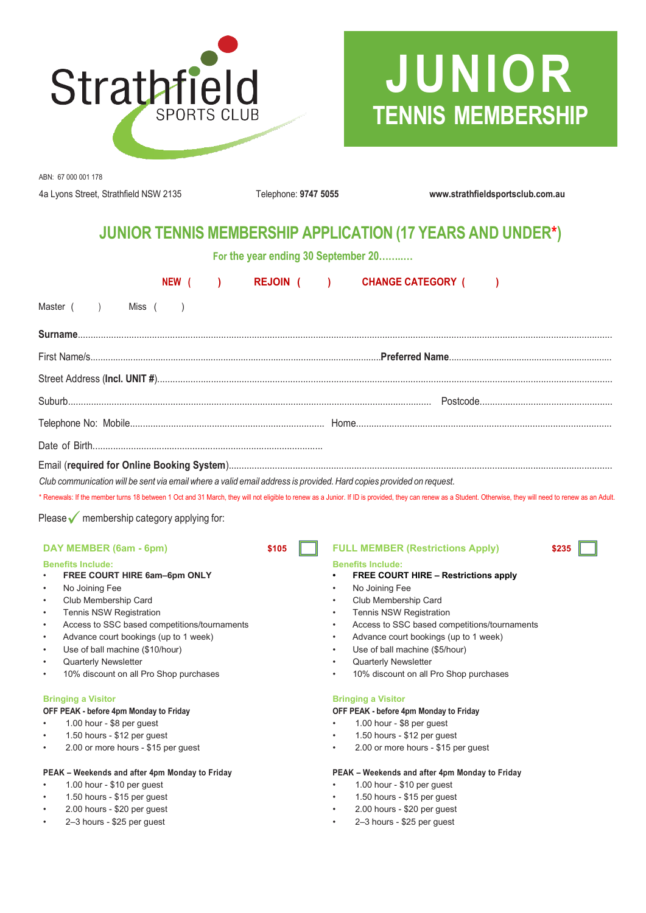

# **JUNIOR TENNIS MEMBERSHIP**

ABN: 67 000 001 178

4a Lyons Street, Strathfield NSW 2135 Telephone: **9747 5055 www.strathfieldsportsclub.com.au**

## **JUNIOR TENNIS MEMBERSHIP APPLICATION (17 YEARS AND UNDER\*)**

**For the year ending 30 September 20……..…**

| NEW (<br>$\mathcal{L}$                                                                                                                                                                                                                                                                                                                                                                                                               | <b>REJOIN (</b><br>$\rightarrow$                                           | <b>CHANGE CATEGORY (</b>                                                                                                                                                                                                                                                                                                                                |       |  |  |
|--------------------------------------------------------------------------------------------------------------------------------------------------------------------------------------------------------------------------------------------------------------------------------------------------------------------------------------------------------------------------------------------------------------------------------------|----------------------------------------------------------------------------|---------------------------------------------------------------------------------------------------------------------------------------------------------------------------------------------------------------------------------------------------------------------------------------------------------------------------------------------------------|-------|--|--|
| Master (<br>Miss (<br>$\lambda$<br>$\rightarrow$                                                                                                                                                                                                                                                                                                                                                                                     |                                                                            |                                                                                                                                                                                                                                                                                                                                                         |       |  |  |
|                                                                                                                                                                                                                                                                                                                                                                                                                                      |                                                                            |                                                                                                                                                                                                                                                                                                                                                         |       |  |  |
|                                                                                                                                                                                                                                                                                                                                                                                                                                      |                                                                            |                                                                                                                                                                                                                                                                                                                                                         |       |  |  |
|                                                                                                                                                                                                                                                                                                                                                                                                                                      |                                                                            |                                                                                                                                                                                                                                                                                                                                                         |       |  |  |
|                                                                                                                                                                                                                                                                                                                                                                                                                                      |                                                                            |                                                                                                                                                                                                                                                                                                                                                         |       |  |  |
|                                                                                                                                                                                                                                                                                                                                                                                                                                      |                                                                            |                                                                                                                                                                                                                                                                                                                                                         |       |  |  |
|                                                                                                                                                                                                                                                                                                                                                                                                                                      |                                                                            |                                                                                                                                                                                                                                                                                                                                                         |       |  |  |
| Club communication will be sent via email where a valid email address is provided. Hard copies provided on request.<br>* Renewals: If the member turns 18 between 1 Oct and 31 March, they will not eligible to renew as a Junior. If ID is provided, they can renew as a Student. Otherwise, they will need to renew as an Adult.<br>Please $\sqrt{\ }$ membership category applying for:                                           |                                                                            |                                                                                                                                                                                                                                                                                                                                                         |       |  |  |
| DAY MEMBER (6am - 6pm)                                                                                                                                                                                                                                                                                                                                                                                                               | \$105                                                                      | <b>FULL MEMBER (Restrictions Apply)</b>                                                                                                                                                                                                                                                                                                                 | \$235 |  |  |
| <b>Benefits Include:</b><br>FREE COURT HIRE 6am-6pm ONLY<br>No Joining Fee<br>$\bullet$<br>Club Membership Card<br>$\bullet$<br><b>Tennis NSW Registration</b><br>$\bullet$<br>Access to SSC based competitions/tournaments<br>$\bullet$<br>Advance court bookings (up to 1 week)<br>$\bullet$<br>Use of ball machine (\$10/hour)<br>$\bullet$<br><b>Quarterly Newsletter</b><br>10% discount on all Pro Shop purchases<br>$\bullet$ | $\bullet$<br>$\bullet$<br>$\bullet$<br>$\bullet$<br>$\bullet$<br>$\bullet$ | <b>Benefits Include:</b><br><b>FREE COURT HIRE - Restrictions apply</b><br>No Joining Fee<br>Club Membership Card<br><b>Tennis NSW Registration</b><br>Access to SSC based competitions/tournaments<br>Advance court bookings (up to 1 week)<br>Use of ball machine (\$5/hour)<br><b>Quarterly Newsletter</b><br>10% discount on all Pro Shop purchases |       |  |  |
| <b>Bringing a Visitor</b><br>OFF PEAK - before 4pm Monday to Friday<br>1.00 hour - \$8 per guest<br>1.50 hours - \$12 per guest<br>2.00 or more hours - \$15 per guest<br>$\bullet$                                                                                                                                                                                                                                                  | $\bullet$<br>$\bullet$                                                     | <b>Bringing a Visitor</b><br>OFF PEAK - before 4pm Monday to Friday<br>1.00 hour - \$8 per guest<br>1.50 hours - \$12 per guest<br>2.00 or more hours - \$15 per guest                                                                                                                                                                                  |       |  |  |
| PEAK - Weekends and after 4pm Monday to Friday                                                                                                                                                                                                                                                                                                                                                                                       |                                                                            | PEAK - Weekends and after 4pm Monday to Friday                                                                                                                                                                                                                                                                                                          |       |  |  |
| 1.00 hour - $$10$ per guest<br>1.50 hours - \$15 per guest<br>2.00 hours - \$20 per quest                                                                                                                                                                                                                                                                                                                                            | ٠                                                                          | 1.00 hour - $$10$ per guest<br>1.50 hours - \$15 per guest<br>2.00 hours - \$20 per quest                                                                                                                                                                                                                                                               |       |  |  |

- 
- 2–3 hours \$25 per guest 2–3 hours \$25 per guest